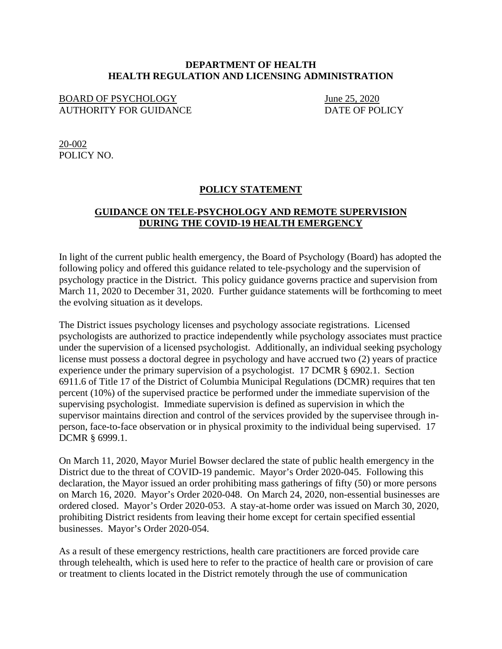## **DEPARTMENT OF HEALTH HEALTH REGULATION AND LICENSING ADMINISTRATION**

## BOARD OF PSYCHOLOGY<br>AUTHORITY FOR GUIDANCE DATE OF POLICY AUTHORITY FOR GUIDANCE

20-002 POLICY NO.

## **POLICY STATEMENT**

## **GUIDANCE ON TELE-PSYCHOLOGY AND REMOTE SUPERVISION DURING THE COVID-19 HEALTH EMERGENCY**

In light of the current public health emergency, the Board of Psychology (Board) has adopted the following policy and offered this guidance related to tele-psychology and the supervision of psychology practice in the District. This policy guidance governs practice and supervision from March 11, 2020 to December 31, 2020. Further guidance statements will be forthcoming to meet the evolving situation as it develops.

The District issues psychology licenses and psychology associate registrations. Licensed psychologists are authorized to practice independently while psychology associates must practice under the supervision of a licensed psychologist. Additionally, an individual seeking psychology license must possess a doctoral degree in psychology and have accrued two (2) years of practice experience under the primary supervision of a psychologist. 17 DCMR § 6902.1. Section 6911.6 of Title 17 of the District of Columbia Municipal Regulations (DCMR) requires that ten percent (10%) of the supervised practice be performed under the immediate supervision of the supervising psychologist. Immediate supervision is defined as supervision in which the supervisor maintains direction and control of the services provided by the supervisee through inperson, face-to-face observation or in physical proximity to the individual being supervised. 17 DCMR § 6999.1.

On March 11, 2020, Mayor Muriel Bowser declared the state of public health emergency in the District due to the threat of COVID-19 pandemic. Mayor's Order 2020-045. Following this declaration, the Mayor issued an order prohibiting mass gatherings of fifty (50) or more persons on March 16, 2020. Mayor's Order 2020-048. On March 24, 2020, non-essential businesses are ordered closed. Mayor's Order 2020-053. A stay-at-home order was issued on March 30, 2020, prohibiting District residents from leaving their home except for certain specified essential businesses. Mayor's Order 2020-054.

As a result of these emergency restrictions, health care practitioners are forced provide care through telehealth, which is used here to refer to the practice of health care or provision of care or treatment to clients located in the District remotely through the use of communication